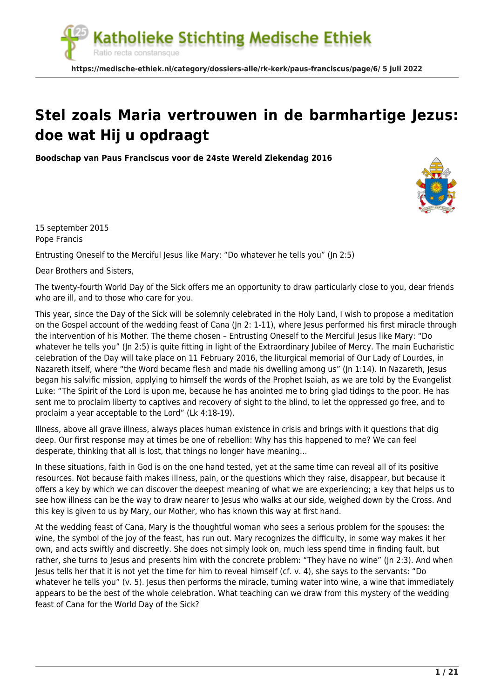

# **[Stel zoals Maria vertrouwen in de barmhartige Jezus:](https://medische-ethiek.nl/stel-zoals-maria-vertrouwen-in-de-barmhartige-jezus-doe-wat-hij-u-opdraagt/) [doe wat Hij u opdraagt](https://medische-ethiek.nl/stel-zoals-maria-vertrouwen-in-de-barmhartige-jezus-doe-wat-hij-u-opdraagt/)**

**Boodschap van Paus Franciscus voor de 24ste Wereld Ziekendag 2016**



15 september 2015 Pope Francis

Entrusting Oneself to the Merciful Jesus like Mary: "Do whatever he tells you" (Jn 2:5)

Dear Brothers and Sisters,

The twenty-fourth World Day of the Sick offers me an opportunity to draw particularly close to you, dear friends who are ill, and to those who care for you.

This year, since the Day of the Sick will be solemnly celebrated in the Holy Land, I wish to propose a meditation on the Gospel account of the wedding feast of Cana (Jn 2: 1-11), where Jesus performed his first miracle through the intervention of his Mother. The theme chosen – Entrusting Oneself to the Merciful Jesus like Mary: "Do whatever he tells you" (Jn 2:5) is quite fitting in light of the Extraordinary Jubilee of Mercy. The main Eucharistic celebration of the Day will take place on 11 February 2016, the liturgical memorial of Our Lady of Lourdes, in Nazareth itself, where "the Word became flesh and made his dwelling among us" (Jn 1:14). In Nazareth, Jesus began his salvific mission, applying to himself the words of the Prophet Isaiah, as we are told by the Evangelist Luke: "The Spirit of the Lord is upon me, because he has anointed me to bring glad tidings to the poor. He has sent me to proclaim liberty to captives and recovery of sight to the blind, to let the oppressed go free, and to proclaim a year acceptable to the Lord" (Lk 4:18-19).

Illness, above all grave illness, always places human existence in crisis and brings with it questions that dig deep. Our first response may at times be one of rebellion: Why has this happened to me? We can feel desperate, thinking that all is lost, that things no longer have meaning…

In these situations, faith in God is on the one hand tested, yet at the same time can reveal all of its positive resources. Not because faith makes illness, pain, or the questions which they raise, disappear, but because it offers a key by which we can discover the deepest meaning of what we are experiencing; a key that helps us to see how illness can be the way to draw nearer to Jesus who walks at our side, weighed down by the Cross. And this key is given to us by Mary, our Mother, who has known this way at first hand.

At the wedding feast of Cana, Mary is the thoughtful woman who sees a serious problem for the spouses: the wine, the symbol of the joy of the feast, has run out. Mary recognizes the difficulty, in some way makes it her own, and acts swiftly and discreetly. She does not simply look on, much less spend time in finding fault, but rather, she turns to Jesus and presents him with the concrete problem: "They have no wine" (Jn 2:3). And when Jesus tells her that it is not yet the time for him to reveal himself (cf. v. 4), she says to the servants: "Do whatever he tells you" (v. 5). Jesus then performs the miracle, turning water into wine, a wine that immediately appears to be the best of the whole celebration. What teaching can we draw from this mystery of the wedding feast of Cana for the World Day of the Sick?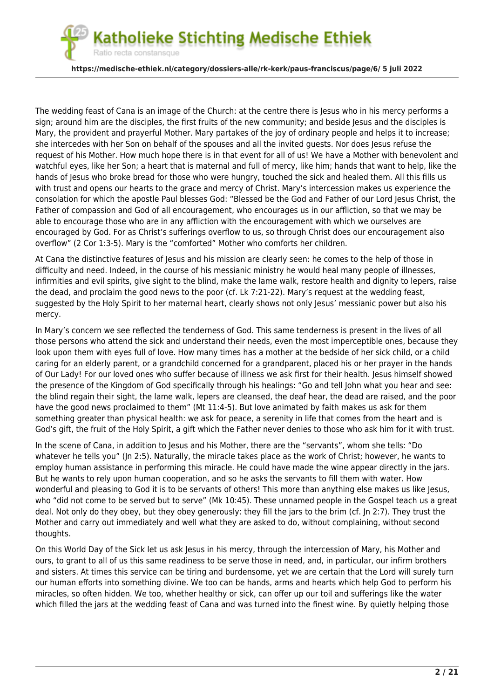atholieke Stichting Medische Ethiek Ratio recta constansque

**https://medische-ethiek.nl/category/dossiers-alle/rk-kerk/paus-franciscus/page/6/ 5 juli 2022**

The wedding feast of Cana is an image of the Church: at the centre there is Jesus who in his mercy performs a sign; around him are the disciples, the first fruits of the new community; and beside Jesus and the disciples is Mary, the provident and prayerful Mother. Mary partakes of the joy of ordinary people and helps it to increase; she intercedes with her Son on behalf of the spouses and all the invited guests. Nor does Jesus refuse the request of his Mother. How much hope there is in that event for all of us! We have a Mother with benevolent and watchful eyes, like her Son; a heart that is maternal and full of mercy, like him; hands that want to help, like the hands of Jesus who broke bread for those who were hungry, touched the sick and healed them. All this fills us with trust and opens our hearts to the grace and mercy of Christ. Mary's intercession makes us experience the consolation for which the apostle Paul blesses God: "Blessed be the God and Father of our Lord Jesus Christ, the Father of compassion and God of all encouragement, who encourages us in our affliction, so that we may be able to encourage those who are in any affliction with the encouragement with which we ourselves are encouraged by God. For as Christ's sufferings overflow to us, so through Christ does our encouragement also overflow" (2 Cor 1:3-5). Mary is the "comforted" Mother who comforts her children.

At Cana the distinctive features of Jesus and his mission are clearly seen: he comes to the help of those in difficulty and need. Indeed, in the course of his messianic ministry he would heal many people of illnesses, infirmities and evil spirits, give sight to the blind, make the lame walk, restore health and dignity to lepers, raise the dead, and proclaim the good news to the poor (cf. Lk 7:21-22). Mary's request at the wedding feast, suggested by the Holy Spirit to her maternal heart, clearly shows not only Jesus' messianic power but also his mercy.

In Mary's concern we see reflected the tenderness of God. This same tenderness is present in the lives of all those persons who attend the sick and understand their needs, even the most imperceptible ones, because they look upon them with eyes full of love. How many times has a mother at the bedside of her sick child, or a child caring for an elderly parent, or a grandchild concerned for a grandparent, placed his or her prayer in the hands of Our Lady! For our loved ones who suffer because of illness we ask first for their health. Jesus himself showed the presence of the Kingdom of God specifically through his healings: "Go and tell John what you hear and see: the blind regain their sight, the lame walk, lepers are cleansed, the deaf hear, the dead are raised, and the poor have the good news proclaimed to them" (Mt 11:4-5). But love animated by faith makes us ask for them something greater than physical health: we ask for peace, a serenity in life that comes from the heart and is God's gift, the fruit of the Holy Spirit, a gift which the Father never denies to those who ask him for it with trust.

In the scene of Cana, in addition to Jesus and his Mother, there are the "servants", whom she tells: "Do whatever he tells you" (Jn 2:5). Naturally, the miracle takes place as the work of Christ; however, he wants to employ human assistance in performing this miracle. He could have made the wine appear directly in the jars. But he wants to rely upon human cooperation, and so he asks the servants to fill them with water. How wonderful and pleasing to God it is to be servants of others! This more than anything else makes us like Jesus, who "did not come to be served but to serve" (Mk 10:45). These unnamed people in the Gospel teach us a great deal. Not only do they obey, but they obey generously: they fill the jars to the brim (cf. Jn 2:7). They trust the Mother and carry out immediately and well what they are asked to do, without complaining, without second thoughts.

On this World Day of the Sick let us ask Jesus in his mercy, through the intercession of Mary, his Mother and ours, to grant to all of us this same readiness to be serve those in need, and, in particular, our infirm brothers and sisters. At times this service can be tiring and burdensome, yet we are certain that the Lord will surely turn our human efforts into something divine. We too can be hands, arms and hearts which help God to perform his miracles, so often hidden. We too, whether healthy or sick, can offer up our toil and sufferings like the water which filled the jars at the wedding feast of Cana and was turned into the finest wine. By quietly helping those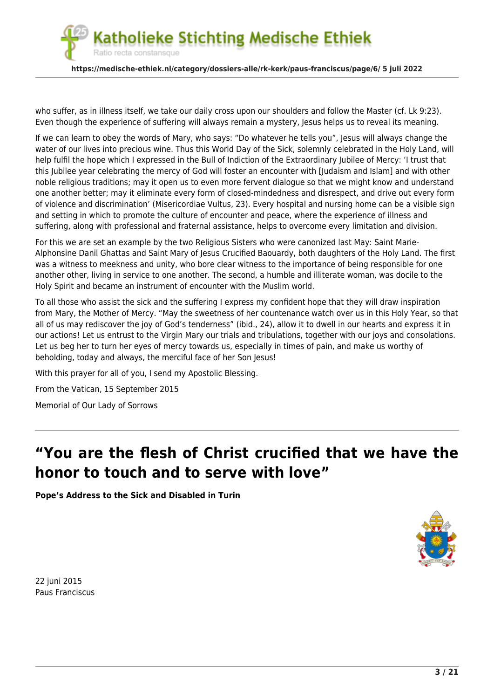

who suffer, as in illness itself, we take our daily cross upon our shoulders and follow the Master (cf. Lk 9:23). Even though the experience of suffering will always remain a mystery, Jesus helps us to reveal its meaning.

If we can learn to obey the words of Mary, who says: "Do whatever he tells you", Jesus will always change the water of our lives into precious wine. Thus this World Day of the Sick, solemnly celebrated in the Holy Land, will help fulfil the hope which I expressed in the Bull of Indiction of the Extraordinary Jubilee of Mercy: 'I trust that this Jubilee year celebrating the mercy of God will foster an encounter with [Judaism and Islam] and with other noble religious traditions; may it open us to even more fervent dialogue so that we might know and understand one another better; may it eliminate every form of closed-mindedness and disrespect, and drive out every form of violence and discrimination' (Misericordiae Vultus, 23). Every hospital and nursing home can be a visible sign and setting in which to promote the culture of encounter and peace, where the experience of illness and suffering, along with professional and fraternal assistance, helps to overcome every limitation and division.

For this we are set an example by the two Religious Sisters who were canonized last May: Saint Marie-Alphonsine Danil Ghattas and Saint Mary of Jesus Crucified Baouardy, both daughters of the Holy Land. The first was a witness to meekness and unity, who bore clear witness to the importance of being responsible for one another other, living in service to one another. The second, a humble and illiterate woman, was docile to the Holy Spirit and became an instrument of encounter with the Muslim world.

To all those who assist the sick and the suffering I express my confident hope that they will draw inspiration from Mary, the Mother of Mercy. "May the sweetness of her countenance watch over us in this Holy Year, so that all of us may rediscover the joy of God's tenderness" (ibid., 24), allow it to dwell in our hearts and express it in our actions! Let us entrust to the Virgin Mary our trials and tribulations, together with our joys and consolations. Let us beg her to turn her eyes of mercy towards us, especially in times of pain, and make us worthy of beholding, today and always, the merciful face of her Son Jesus!

With this prayer for all of you, I send my Apostolic Blessing.

From the Vatican, 15 September 2015

Memorial of Our Lady of Sorrows

### **["You are the flesh of Christ crucified that we have the](https://medische-ethiek.nl/you-are-the-flesh-of-christ-crucified-that-we-have-the-honor-to-touch-and-to-serve-with-love/) [honor to touch and to serve with love"](https://medische-ethiek.nl/you-are-the-flesh-of-christ-crucified-that-we-have-the-honor-to-touch-and-to-serve-with-love/)**

**Pope's Address to the Sick and Disabled in Turin**



22 juni 2015 Paus Franciscus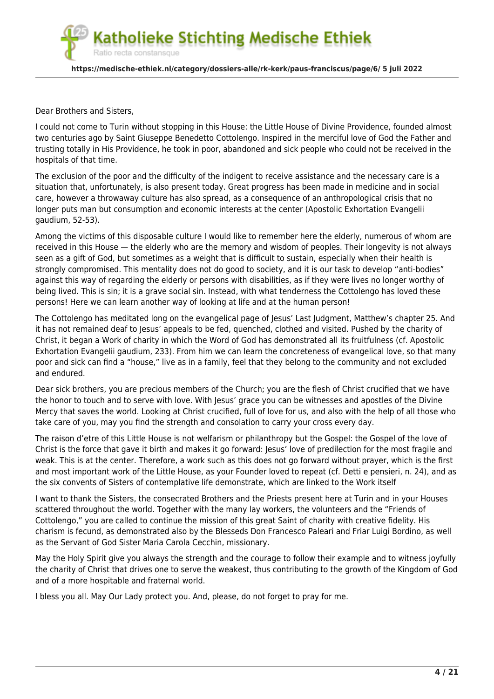tholieke Stichting Medische Ethiek Ratio recta constansque **https://medische-ethiek.nl/category/dossiers-alle/rk-kerk/paus-franciscus/page/6/ 5 juli 2022**

Dear Brothers and Sisters,

I could not come to Turin without stopping in this House: the Little House of Divine Providence, founded almost two centuries ago by Saint Giuseppe Benedetto Cottolengo. Inspired in the merciful love of God the Father and trusting totally in His Providence, he took in poor, abandoned and sick people who could not be received in the hospitals of that time.

The exclusion of the poor and the difficulty of the indigent to receive assistance and the necessary care is a situation that, unfortunately, is also present today. Great progress has been made in medicine and in social care, however a throwaway culture has also spread, as a consequence of an anthropological crisis that no longer puts man but consumption and economic interests at the center (Apostolic Exhortation Evangelii gaudium, 52-53).

Among the victims of this disposable culture I would like to remember here the elderly, numerous of whom are received in this House — the elderly who are the memory and wisdom of peoples. Their longevity is not always seen as a gift of God, but sometimes as a weight that is difficult to sustain, especially when their health is strongly compromised. This mentality does not do good to society, and it is our task to develop "anti-bodies" against this way of regarding the elderly or persons with disabilities, as if they were lives no longer worthy of being lived. This is sin; it is a grave social sin. Instead, with what tenderness the Cottolengo has loved these persons! Here we can learn another way of looking at life and at the human person!

The Cottolengo has meditated long on the evangelical page of Jesus' Last Judgment, Matthew's chapter 25. And it has not remained deaf to Jesus' appeals to be fed, quenched, clothed and visited. Pushed by the charity of Christ, it began a Work of charity in which the Word of God has demonstrated all its fruitfulness (cf. Apostolic Exhortation Evangelii gaudium, 233). From him we can learn the concreteness of evangelical love, so that many poor and sick can find a "house," live as in a family, feel that they belong to the community and not excluded and endured.

Dear sick brothers, you are precious members of the Church; you are the flesh of Christ crucified that we have the honor to touch and to serve with love. With Jesus' grace you can be witnesses and apostles of the Divine Mercy that saves the world. Looking at Christ crucified, full of love for us, and also with the help of all those who take care of you, may you find the strength and consolation to carry your cross every day.

The raison d'etre of this Little House is not welfarism or philanthropy but the Gospel: the Gospel of the love of Christ is the force that gave it birth and makes it go forward: Jesus' love of predilection for the most fragile and weak. This is at the center. Therefore, a work such as this does not go forward without prayer, which is the first and most important work of the Little House, as your Founder loved to repeat (cf. Detti e pensieri, n. 24), and as the six convents of Sisters of contemplative life demonstrate, which are linked to the Work itself

I want to thank the Sisters, the consecrated Brothers and the Priests present here at Turin and in your Houses scattered throughout the world. Together with the many lay workers, the volunteers and the "Friends of Cottolengo," you are called to continue the mission of this great Saint of charity with creative fidelity. His charism is fecund, as demonstrated also by the Blesseds Don Francesco Paleari and Friar Luigi Bordino, as well as the Servant of God Sister Maria Carola Cecchin, missionary.

May the Holy Spirit give you always the strength and the courage to follow their example and to witness joyfully the charity of Christ that drives one to serve the weakest, thus contributing to the growth of the Kingdom of God and of a more hospitable and fraternal world.

I bless you all. May Our Lady protect you. And, please, do not forget to pray for me.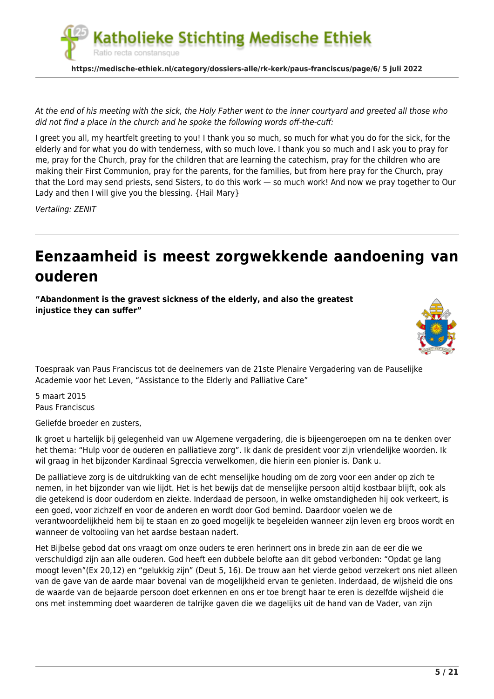

At the end of his meeting with the sick, the Holy Father went to the inner courtyard and greeted all those who did not find a place in the church and he spoke the following words off-the-cuff:

I greet you all, my heartfelt greeting to you! I thank you so much, so much for what you do for the sick, for the elderly and for what you do with tenderness, with so much love. I thank you so much and I ask you to pray for me, pray for the Church, pray for the children that are learning the catechism, pray for the children who are making their First Communion, pray for the parents, for the families, but from here pray for the Church, pray that the Lord may send priests, send Sisters, to do this work — so much work! And now we pray together to Our Lady and then I will give you the blessing. {Hail Mary}

Vertaling: ZENIT

# **[Eenzaamheid is meest zorgwekkende aandoening van](https://medische-ethiek.nl/eenzaamheid-is-meest-zorgwekkende-aandoening-van-ouderen/) [ouderen](https://medische-ethiek.nl/eenzaamheid-is-meest-zorgwekkende-aandoening-van-ouderen/)**

**"Abandonment is the gravest sickness of the elderly, and also the greatest injustice they can suffer"**



Toespraak van Paus Franciscus tot de deelnemers van de 21ste Plenaire Vergadering van de Pauselijke Academie voor het Leven, "Assistance to the Elderly and Palliative Care"

5 maart 2015 Paus Franciscus

Geliefde broeder en zusters,

Ik groet u hartelijk bij gelegenheid van uw Algemene vergadering, die is bijeengeroepen om na te denken over het thema: "Hulp voor de ouderen en palliatieve zorg". Ik dank de president voor zijn vriendelijke woorden. Ik wil graag in het bijzonder Kardinaal Sgreccia verwelkomen, die hierin een pionier is. Dank u.

De palliatieve zorg is de uitdrukking van de echt menselijke houding om de zorg voor een ander op zich te nemen, in het bijzonder van wie lijdt. Het is het bewijs dat de menselijke persoon altijd kostbaar blijft, ook als die getekend is door ouderdom en ziekte. Inderdaad de persoon, in welke omstandigheden hij ook verkeert, is een goed, voor zichzelf en voor de anderen en wordt door God bemind. Daardoor voelen we de verantwoordelijkheid hem bij te staan en zo goed mogelijk te begeleiden wanneer zijn leven erg broos wordt en wanneer de voltooiing van het aardse bestaan nadert.

Het Bijbelse gebod dat ons vraagt om onze ouders te eren herinnert ons in brede zin aan de eer die we verschuldigd zijn aan alle ouderen. God heeft een dubbele belofte aan dit gebod verbonden: "Opdat ge lang moogt leven"(Ex 20,12) en "gelukkig zijn" (Deut 5, 16). De trouw aan het vierde gebod verzekert ons niet alleen van de gave van de aarde maar bovenal van de mogelijkheid ervan te genieten. Inderdaad, de wijsheid die ons de waarde van de bejaarde persoon doet erkennen en ons er toe brengt haar te eren is dezelfde wijsheid die ons met instemming doet waarderen de talrijke gaven die we dagelijks uit de hand van de Vader, van zijn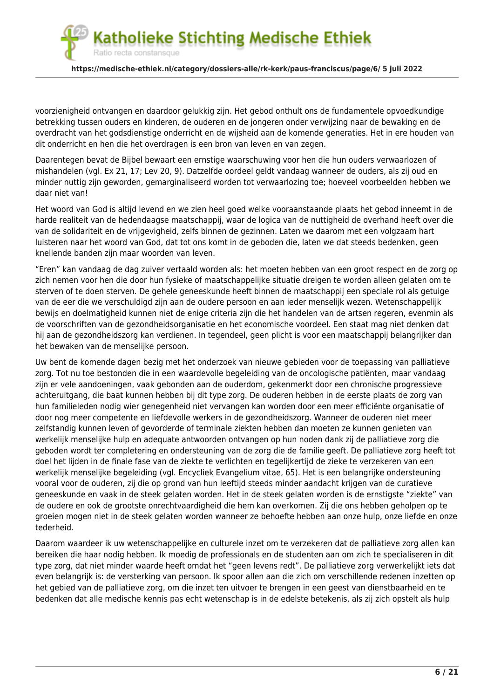atholieke Stichting Medische Ethiek Ratio recta constansque

#### **https://medische-ethiek.nl/category/dossiers-alle/rk-kerk/paus-franciscus/page/6/ 5 juli 2022**

voorzienigheid ontvangen en daardoor gelukkig zijn. Het gebod onthult ons de fundamentele opvoedkundige betrekking tussen ouders en kinderen, de ouderen en de jongeren onder verwijzing naar de bewaking en de overdracht van het godsdienstige onderricht en de wijsheid aan de komende generaties. Het in ere houden van dit onderricht en hen die het overdragen is een bron van leven en van zegen.

Daarentegen bevat de Bijbel bewaart een ernstige waarschuwing voor hen die hun ouders verwaarlozen of mishandelen (vgl. Ex 21, 17; Lev 20, 9). Datzelfde oordeel geldt vandaag wanneer de ouders, als zij oud en minder nuttig zijn geworden, gemarginaliseerd worden tot verwaarlozing toe; hoeveel voorbeelden hebben we daar niet van!

Het woord van God is altijd levend en we zien heel goed welke vooraanstaande plaats het gebod inneemt in de harde realiteit van de hedendaagse maatschappij, waar de logica van de nuttigheid de overhand heeft over die van de solidariteit en de vrijgevigheid, zelfs binnen de gezinnen. Laten we daarom met een volgzaam hart luisteren naar het woord van God, dat tot ons komt in de geboden die, laten we dat steeds bedenken, geen knellende banden zijn maar woorden van leven.

"Eren" kan vandaag de dag zuiver vertaald worden als: het moeten hebben van een groot respect en de zorg op zich nemen voor hen die door hun fysieke of maatschappelijke situatie dreigen te worden alleen gelaten om te sterven of te doen sterven. De gehele geneeskunde heeft binnen de maatschappij een speciale rol als getuige van de eer die we verschuldigd zijn aan de oudere persoon en aan ieder menselijk wezen. Wetenschappelijk bewijs en doelmatigheid kunnen niet de enige criteria zijn die het handelen van de artsen regeren, evenmin als de voorschriften van de gezondheidsorganisatie en het economische voordeel. Een staat mag niet denken dat hij aan de gezondheidszorg kan verdienen. In tegendeel, geen plicht is voor een maatschappij belangrijker dan het bewaken van de menselijke persoon.

Uw bent de komende dagen bezig met het onderzoek van nieuwe gebieden voor de toepassing van palliatieve zorg. Tot nu toe bestonden die in een waardevolle begeleiding van de oncologische patiënten, maar vandaag zijn er vele aandoeningen, vaak gebonden aan de ouderdom, gekenmerkt door een chronische progressieve achteruitgang, die baat kunnen hebben bij dit type zorg. De ouderen hebben in de eerste plaats de zorg van hun familieleden nodig wier genegenheid niet vervangen kan worden door een meer efficiënte organisatie of door nog meer competente en liefdevolle werkers in de gezondheidszorg. Wanneer de ouderen niet meer zelfstandig kunnen leven of gevorderde of terminale ziekten hebben dan moeten ze kunnen genieten van werkelijk menselijke hulp en adequate antwoorden ontvangen op hun noden dank zij de palliatieve zorg die geboden wordt ter completering en ondersteuning van de zorg die de familie geeft. De palliatieve zorg heeft tot doel het lijden in de finale fase van de ziekte te verlichten en tegelijkertijd de zieke te verzekeren van een werkelijk menselijke begeleiding (vgl. Encycliek Evangelium vitae, 65). Het is een belangrijke ondersteuning vooral voor de ouderen, zij die op grond van hun leeftijd steeds minder aandacht krijgen van de curatieve geneeskunde en vaak in de steek gelaten worden. Het in de steek gelaten worden is de ernstigste "ziekte" van de oudere en ook de grootste onrechtvaardigheid die hem kan overkomen. Zij die ons hebben geholpen op te groeien mogen niet in de steek gelaten worden wanneer ze behoefte hebben aan onze hulp, onze liefde en onze tederheid.

Daarom waardeer ik uw wetenschappelijke en culturele inzet om te verzekeren dat de palliatieve zorg allen kan bereiken die haar nodig hebben. Ik moedig de professionals en de studenten aan om zich te specialiseren in dit type zorg, dat niet minder waarde heeft omdat het "geen levens redt". De palliatieve zorg verwerkelijkt iets dat even belangrijk is: de versterking van persoon. Ik spoor allen aan die zich om verschillende redenen inzetten op het gebied van de palliatieve zorg, om die inzet ten uitvoer te brengen in een geest van dienstbaarheid en te bedenken dat alle medische kennis pas echt wetenschap is in de edelste betekenis, als zij zich opstelt als hulp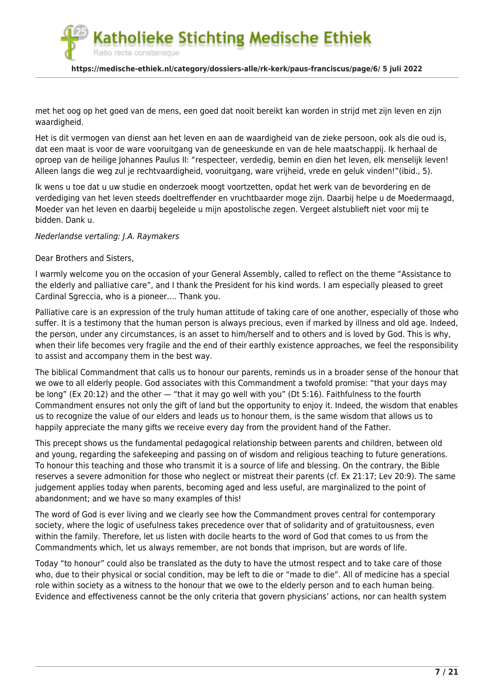tholieke Stichting Medische Ethiek

**https://medische-ethiek.nl/category/dossiers-alle/rk-kerk/paus-franciscus/page/6/ 5 juli 2022**

met het oog op het goed van de mens, een goed dat nooit bereikt kan worden in strijd met zijn leven en zijn waardigheid.

Het is dit vermogen van dienst aan het leven en aan de waardigheid van de zieke persoon, ook als die oud is, dat een maat is voor de ware vooruitgang van de geneeskunde en van de hele maatschappij. Ik herhaal de oproep van de heilige Johannes Paulus II: "respecteer, verdedig, bemin en dien het leven, elk menselijk leven! Alleen langs die weg zul je rechtvaardigheid, vooruitgang, ware vrijheid, vrede en geluk vinden!"(ibid., 5).

Ik wens u toe dat u uw studie en onderzoek moogt voortzetten, opdat het werk van de bevordering en de verdediging van het leven steeds doeltreffender en vruchtbaarder moge zijn. Daarbij helpe u de Moedermaagd, Moeder van het leven en daarbij begeleide u mijn apostolische zegen. Vergeet alstublieft niet voor mij te bidden. Dank u.

Nederlandse vertaling: J.A. Raymakers

Ratio recta constansque

Dear Brothers and Sisters,

I warmly welcome you on the occasion of your General Assembly, called to reflect on the theme "Assistance to the elderly and palliative care", and I thank the President for his kind words. I am especially pleased to greet Cardinal Sgreccia, who is a pioneer…. Thank you.

Palliative care is an expression of the truly human attitude of taking care of one another, especially of those who suffer. It is a testimony that the human person is always precious, even if marked by illness and old age. Indeed, the person, under any circumstances, is an asset to him/herself and to others and is loved by God. This is why, when their life becomes very fragile and the end of their earthly existence approaches, we feel the responsibility to assist and accompany them in the best way.

The biblical Commandment that calls us to honour our parents, reminds us in a broader sense of the honour that we owe to all elderly people. God associates with this Commandment a twofold promise: "that your days may be long" (Ex 20:12) and the other — "that it may go well with you" (Dt 5:16). Faithfulness to the fourth Commandment ensures not only the gift of land but the opportunity to enjoy it. Indeed, the wisdom that enables us to recognize the value of our elders and leads us to honour them, is the same wisdom that allows us to happily appreciate the many gifts we receive every day from the provident hand of the Father.

This precept shows us the fundamental pedagogical relationship between parents and children, between old and young, regarding the safekeeping and passing on of wisdom and religious teaching to future generations. To honour this teaching and those who transmit it is a source of life and blessing. On the contrary, the Bible reserves a severe admonition for those who neglect or mistreat their parents (cf. Ex 21:17; Lev 20:9). The same judgement applies today when parents, becoming aged and less useful, are marginalized to the point of abandonment; and we have so many examples of this!

The word of God is ever living and we clearly see how the Commandment proves central for contemporary society, where the logic of usefulness takes precedence over that of solidarity and of gratuitousness, even within the family. Therefore, let us listen with docile hearts to the word of God that comes to us from the Commandments which, let us always remember, are not bonds that imprison, but are words of life.

Today "to honour" could also be translated as the duty to have the utmost respect and to take care of those who, due to their physical or social condition, may be left to die or "made to die". All of medicine has a special role within society as a witness to the honour that we owe to the elderly person and to each human being. Evidence and effectiveness cannot be the only criteria that govern physicians' actions, nor can health system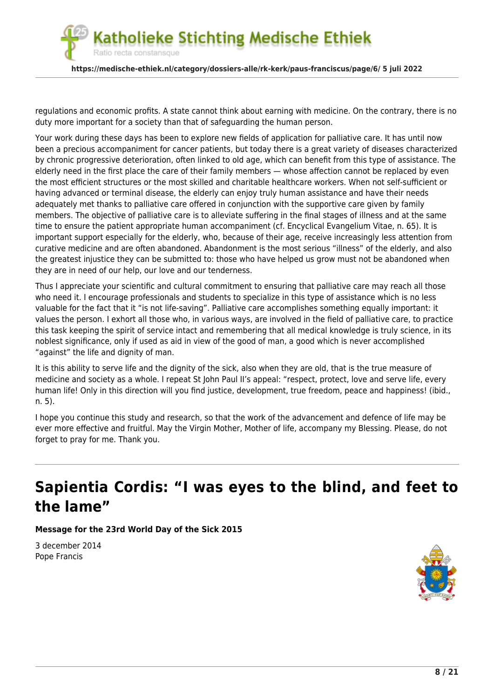

regulations and economic profits. A state cannot think about earning with medicine. On the contrary, there is no duty more important for a society than that of safeguarding the human person.

Your work during these days has been to explore new fields of application for palliative care. It has until now been a precious accompaniment for cancer patients, but today there is a great variety of diseases characterized by chronic progressive deterioration, often linked to old age, which can benefit from this type of assistance. The elderly need in the first place the care of their family members — whose affection cannot be replaced by even the most efficient structures or the most skilled and charitable healthcare workers. When not self-sufficient or having advanced or terminal disease, the elderly can enjoy truly human assistance and have their needs adequately met thanks to palliative care offered in conjunction with the supportive care given by family members. The objective of palliative care is to alleviate suffering in the final stages of illness and at the same time to ensure the patient appropriate human accompaniment (cf. Encyclical Evangelium Vitae, n. 65). It is important support especially for the elderly, who, because of their age, receive increasingly less attention from curative medicine and are often abandoned. Abandonment is the most serious "illness" of the elderly, and also the greatest injustice they can be submitted to: those who have helped us grow must not be abandoned when they are in need of our help, our love and our tenderness.

Thus I appreciate your scientific and cultural commitment to ensuring that palliative care may reach all those who need it. I encourage professionals and students to specialize in this type of assistance which is no less valuable for the fact that it "is not life-saving". Palliative care accomplishes something equally important: it values the person. I exhort all those who, in various ways, are involved in the field of palliative care, to practice this task keeping the spirit of service intact and remembering that all medical knowledge is truly science, in its noblest significance, only if used as aid in view of the good of man, a good which is never accomplished "against" the life and dignity of man.

It is this ability to serve life and the dignity of the sick, also when they are old, that is the true measure of medicine and society as a whole. I repeat St John Paul II's appeal: "respect, protect, love and serve life, every human life! Only in this direction will you find justice, development, true freedom, peace and happiness! (ibid., n. 5).

I hope you continue this study and research, so that the work of the advancement and defence of life may be ever more effective and fruitful. May the Virgin Mother, Mother of life, accompany my Blessing. Please, do not forget to pray for me. Thank you.

# **[Sapientia Cordis: "I was eyes to the blind, and feet to](https://medische-ethiek.nl/sapientia-cordis-i-was-eyes-to-the-blind-and-feet-to-the-lame/) [the lame"](https://medische-ethiek.nl/sapientia-cordis-i-was-eyes-to-the-blind-and-feet-to-the-lame/)**

**Message for the 23rd World Day of the Sick 2015**

3 december 2014 Pope Francis

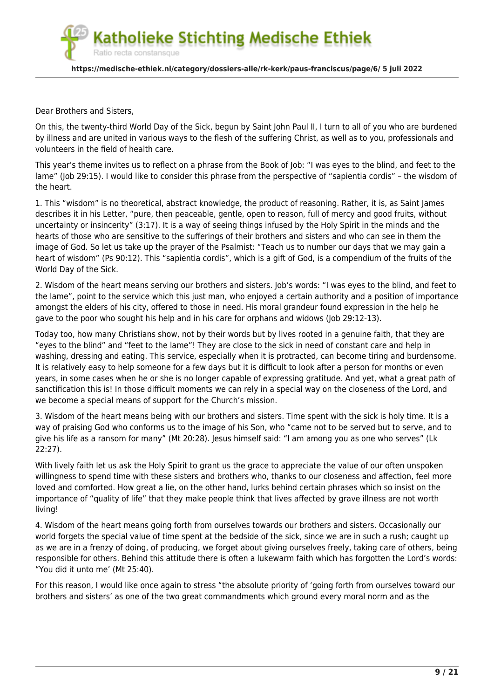tholieke Stichting Medische Ethiek Ratio recta constansque

#### **https://medische-ethiek.nl/category/dossiers-alle/rk-kerk/paus-franciscus/page/6/ 5 juli 2022**

Dear Brothers and Sisters,

On this, the twenty-third World Day of the Sick, begun by Saint John Paul II, I turn to all of you who are burdened by illness and are united in various ways to the flesh of the suffering Christ, as well as to you, professionals and volunteers in the field of health care.

This year's theme invites us to reflect on a phrase from the Book of Job: "I was eyes to the blind, and feet to the lame" (Job 29:15). I would like to consider this phrase from the perspective of "sapientia cordis" – the wisdom of the heart.

1. This "wisdom" is no theoretical, abstract knowledge, the product of reasoning. Rather, it is, as Saint James describes it in his Letter, "pure, then peaceable, gentle, open to reason, full of mercy and good fruits, without uncertainty or insincerity" (3:17). It is a way of seeing things infused by the Holy Spirit in the minds and the hearts of those who are sensitive to the sufferings of their brothers and sisters and who can see in them the image of God. So let us take up the prayer of the Psalmist: "Teach us to number our days that we may gain a heart of wisdom" (Ps 90:12). This "sapientia cordis", which is a gift of God, is a compendium of the fruits of the World Day of the Sick.

2. Wisdom of the heart means serving our brothers and sisters. Job's words: "I was eyes to the blind, and feet to the lame", point to the service which this just man, who enjoyed a certain authority and a position of importance amongst the elders of his city, offered to those in need. His moral grandeur found expression in the help he gave to the poor who sought his help and in his care for orphans and widows (Job 29:12-13).

Today too, how many Christians show, not by their words but by lives rooted in a genuine faith, that they are "eyes to the blind" and "feet to the lame"! They are close to the sick in need of constant care and help in washing, dressing and eating. This service, especially when it is protracted, can become tiring and burdensome. It is relatively easy to help someone for a few days but it is difficult to look after a person for months or even years, in some cases when he or she is no longer capable of expressing gratitude. And yet, what a great path of sanctification this is! In those difficult moments we can rely in a special way on the closeness of the Lord, and we become a special means of support for the Church's mission.

3. Wisdom of the heart means being with our brothers and sisters. Time spent with the sick is holy time. It is a way of praising God who conforms us to the image of his Son, who "came not to be served but to serve, and to give his life as a ransom for many" (Mt 20:28). Jesus himself said: "I am among you as one who serves" (Lk 22:27).

With lively faith let us ask the Holy Spirit to grant us the grace to appreciate the value of our often unspoken willingness to spend time with these sisters and brothers who, thanks to our closeness and affection, feel more loved and comforted. How great a lie, on the other hand, lurks behind certain phrases which so insist on the importance of "quality of life" that they make people think that lives affected by grave illness are not worth living!

4. Wisdom of the heart means going forth from ourselves towards our brothers and sisters. Occasionally our world forgets the special value of time spent at the bedside of the sick, since we are in such a rush; caught up as we are in a frenzy of doing, of producing, we forget about giving ourselves freely, taking care of others, being responsible for others. Behind this attitude there is often a lukewarm faith which has forgotten the Lord's words: "You did it unto me' (Mt 25:40).

For this reason, I would like once again to stress "the absolute priority of 'going forth from ourselves toward our brothers and sisters' as one of the two great commandments which ground every moral norm and as the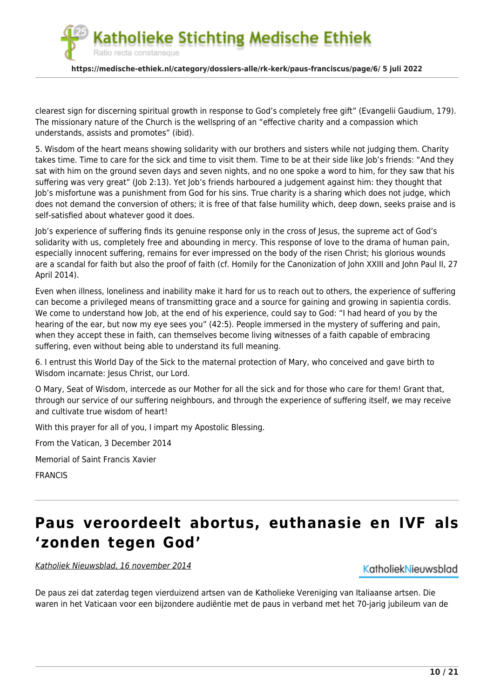tholieke Stichting Medische Ethiek Ratio recta constansque

**https://medische-ethiek.nl/category/dossiers-alle/rk-kerk/paus-franciscus/page/6/ 5 juli 2022**

clearest sign for discerning spiritual growth in response to God's completely free gift" (Evangelii Gaudium, 179). The missionary nature of the Church is the wellspring of an "effective charity and a compassion which understands, assists and promotes" (ibid).

5. Wisdom of the heart means showing solidarity with our brothers and sisters while not judging them. Charity takes time. Time to care for the sick and time to visit them. Time to be at their side like Job's friends: "And they sat with him on the ground seven days and seven nights, and no one spoke a word to him, for they saw that his suffering was very great" (Job 2:13). Yet Job's friends harboured a judgement against him: they thought that Job's misfortune was a punishment from God for his sins. True charity is a sharing which does not judge, which does not demand the conversion of others; it is free of that false humility which, deep down, seeks praise and is self-satisfied about whatever good it does.

Job's experience of suffering finds its genuine response only in the cross of Jesus, the supreme act of God's solidarity with us, completely free and abounding in mercy. This response of love to the drama of human pain, especially innocent suffering, remains for ever impressed on the body of the risen Christ; his glorious wounds are a scandal for faith but also the proof of faith (cf. Homily for the Canonization of John XXIII and John Paul II, 27 April 2014).

Even when illness, loneliness and inability make it hard for us to reach out to others, the experience of suffering can become a privileged means of transmitting grace and a source for gaining and growing in sapientia cordis. We come to understand how Job, at the end of his experience, could say to God: "I had heard of you by the hearing of the ear, but now my eye sees you" (42:5). People immersed in the mystery of suffering and pain, when they accept these in faith, can themselves become living witnesses of a faith capable of embracing suffering, even without being able to understand its full meaning.

6. I entrust this World Day of the Sick to the maternal protection of Mary, who conceived and gave birth to Wisdom incarnate: Jesus Christ, our Lord.

O Mary, Seat of Wisdom, intercede as our Mother for all the sick and for those who care for them! Grant that, through our service of our suffering neighbours, and through the experience of suffering itself, we may receive and cultivate true wisdom of heart!

With this prayer for all of you, I impart my Apostolic Blessing.

From the Vatican, 3 December 2014

Memorial of Saint Francis Xavier

FRANCIS

# **[Paus veroordeelt abortus, euthanasie en IVF als](https://medische-ethiek.nl/paus-veroordeelt-abortus-euthanasie-en-ivf-als-zonden-tegen-god/) ['zonden tegen God'](https://medische-ethiek.nl/paus-veroordeelt-abortus-euthanasie-en-ivf-als-zonden-tegen-god/)**

[Katholiek Nieuwsblad, 16 november 2014](https://www.kn.nl/)

KatholiekNieuwsblad

De paus zei dat zaterdag tegen vierduizend artsen van de Katholieke Vereniging van Italiaanse artsen. Die waren in het Vaticaan voor een bijzondere audiëntie met de paus in verband met het 70-jarig jubileum van de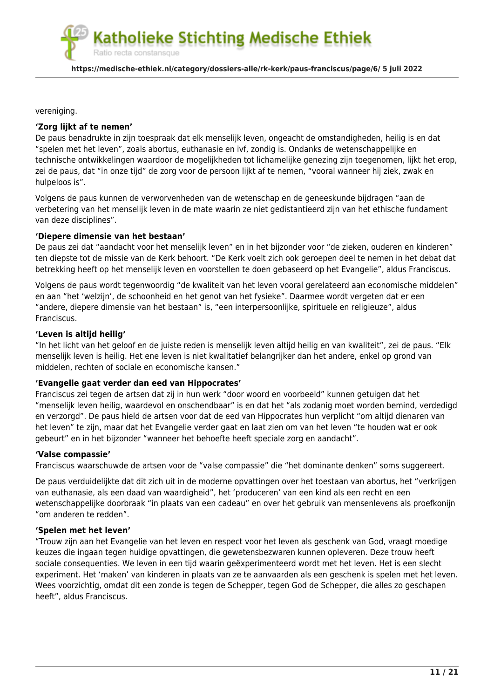tholieke Stichting Medische Ethiek

#### **https://medische-ethiek.nl/category/dossiers-alle/rk-kerk/paus-franciscus/page/6/ 5 juli 2022**

vereniging.

#### **'Zorg lijkt af te nemen'**

De paus benadrukte in zijn toespraak dat elk menselijk leven, ongeacht de omstandigheden, heilig is en dat "spelen met het leven", zoals abortus, euthanasie en ivf, zondig is. Ondanks de wetenschappelijke en technische ontwikkelingen waardoor de mogelijkheden tot lichamelijke genezing zijn toegenomen, lijkt het erop, zei de paus, dat "in onze tijd" de zorg voor de persoon lijkt af te nemen, "vooral wanneer hij ziek, zwak en hulpeloos is".

Volgens de paus kunnen de verworvenheden van de wetenschap en de geneeskunde bijdragen "aan de verbetering van het menselijk leven in de mate waarin ze niet gedistantieerd zijn van het ethische fundament van deze disciplines".

#### **'Diepere dimensie van het bestaan'**

Ratio recta constansque

De paus zei dat "aandacht voor het menselijk leven" en in het bijzonder voor "de zieken, ouderen en kinderen" ten diepste tot de missie van de Kerk behoort. "De Kerk voelt zich ook geroepen deel te nemen in het debat dat betrekking heeft op het menselijk leven en voorstellen te doen gebaseerd op het Evangelie", aldus Franciscus.

Volgens de paus wordt tegenwoordig "de kwaliteit van het leven vooral gerelateerd aan economische middelen" en aan "het 'welzijn', de schoonheid en het genot van het fysieke". Daarmee wordt vergeten dat er een "andere, diepere dimensie van het bestaan" is, "een interpersoonlijke, spirituele en religieuze", aldus Franciscus.

#### **'Leven is altijd heilig'**

"In het licht van het geloof en de juiste reden is menselijk leven altijd heilig en van kwaliteit", zei de paus. "Elk menselijk leven is heilig. Het ene leven is niet kwalitatief belangrijker dan het andere, enkel op grond van middelen, rechten of sociale en economische kansen."

#### **'Evangelie gaat verder dan eed van Hippocrates'**

Franciscus zei tegen de artsen dat zij in hun werk "door woord en voorbeeld" kunnen getuigen dat het "menselijk leven heilig, waardevol en onschendbaar" is en dat het "als zodanig moet worden bemind, verdedigd en verzorgd". De paus hield de artsen voor dat de eed van Hippocrates hun verplicht "om altijd dienaren van het leven" te zijn, maar dat het Evangelie verder gaat en laat zien om van het leven "te houden wat er ook gebeurt" en in het bijzonder "wanneer het behoefte heeft speciale zorg en aandacht".

#### **'Valse compassie'**

Franciscus waarschuwde de artsen voor de "valse compassie" die "het dominante denken" soms suggereert.

De paus verduidelijkte dat dit zich uit in de moderne opvattingen over het toestaan van abortus, het "verkrijgen van euthanasie, als een daad van waardigheid", het 'produceren' van een kind als een recht en een wetenschappelijke doorbraak "in plaats van een cadeau" en over het gebruik van mensenlevens als proefkonijn "om anderen te redden".

#### **'Spelen met het leven'**

"Trouw zijn aan het Evangelie van het leven en respect voor het leven als geschenk van God, vraagt moedige keuzes die ingaan tegen huidige opvattingen, die gewetensbezwaren kunnen opleveren. Deze trouw heeft sociale consequenties. We leven in een tijd waarin geëxperimenteerd wordt met het leven. Het is een slecht experiment. Het 'maken' van kinderen in plaats van ze te aanvaarden als een geschenk is spelen met het leven. Wees voorzichtig, omdat dit een zonde is tegen de Schepper, tegen God de Schepper, die alles zo geschapen heeft", aldus Franciscus.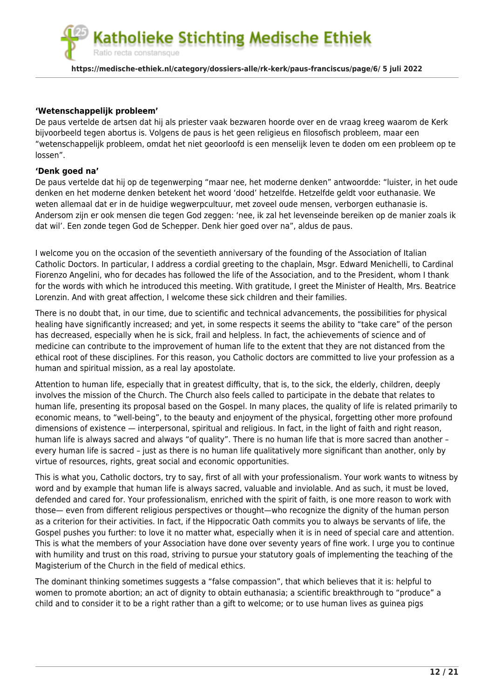atholieke Stichting Medische Ethiek Ratio recta constansque

### **https://medische-ethiek.nl/category/dossiers-alle/rk-kerk/paus-franciscus/page/6/ 5 juli 2022**

#### **'Wetenschappelijk probleem'**

De paus vertelde de artsen dat hij als priester vaak bezwaren hoorde over en de vraag kreeg waarom de Kerk bijvoorbeeld tegen abortus is. Volgens de paus is het geen religieus en filosofisch probleem, maar een "wetenschappelijk probleem, omdat het niet geoorloofd is een menselijk leven te doden om een probleem op te lossen".

#### **'Denk goed na'**

De paus vertelde dat hij op de tegenwerping "maar nee, het moderne denken" antwoordde: "luister, in het oude denken en het moderne denken betekent het woord 'dood' hetzelfde. Hetzelfde geldt voor euthanasie. We weten allemaal dat er in de huidige wegwerpcultuur, met zoveel oude mensen, verborgen euthanasie is. Andersom zijn er ook mensen die tegen God zeggen: 'nee, ik zal het levenseinde bereiken op de manier zoals ik dat wil'. Een zonde tegen God de Schepper. Denk hier goed over na", aldus de paus.

I welcome you on the occasion of the seventieth anniversary of the founding of the Association of Italian Catholic Doctors. In particular, I address a cordial greeting to the chaplain, Msgr. Edward Menichelli, to Cardinal Fiorenzo Angelini, who for decades has followed the life of the Association, and to the President, whom I thank for the words with which he introduced this meeting. With gratitude, I greet the Minister of Health, Mrs. Beatrice Lorenzin. And with great affection, I welcome these sick children and their families.

There is no doubt that, in our time, due to scientific and technical advancements, the possibilities for physical healing have significantly increased; and yet, in some respects it seems the ability to "take care" of the person has decreased, especially when he is sick, frail and helpless. In fact, the achievements of science and of medicine can contribute to the improvement of human life to the extent that they are not distanced from the ethical root of these disciplines. For this reason, you Catholic doctors are committed to live your profession as a human and spiritual mission, as a real lay apostolate.

Attention to human life, especially that in greatest difficulty, that is, to the sick, the elderly, children, deeply involves the mission of the Church. The Church also feels called to participate in the debate that relates to human life, presenting its proposal based on the Gospel. In many places, the quality of life is related primarily to economic means, to "well-being", to the beauty and enjoyment of the physical, forgetting other more profound dimensions of existence — interpersonal, spiritual and religious. In fact, in the light of faith and right reason, human life is always sacred and always "of quality". There is no human life that is more sacred than another – every human life is sacred – just as there is no human life qualitatively more significant than another, only by virtue of resources, rights, great social and economic opportunities.

This is what you, Catholic doctors, try to say, first of all with your professionalism. Your work wants to witness by word and by example that human life is always sacred, valuable and inviolable. And as such, it must be loved, defended and cared for. Your professionalism, enriched with the spirit of faith, is one more reason to work with those— even from different religious perspectives or thought—who recognize the dignity of the human person as a criterion for their activities. In fact, if the Hippocratic Oath commits you to always be servants of life, the Gospel pushes you further: to love it no matter what, especially when it is in need of special care and attention. This is what the members of your Association have done over seventy years of fine work. I urge you to continue with humility and trust on this road, striving to pursue your statutory goals of implementing the teaching of the Magisterium of the Church in the field of medical ethics.

The dominant thinking sometimes suggests a "false compassion", that which believes that it is: helpful to women to promote abortion; an act of dignity to obtain euthanasia; a scientific breakthrough to "produce" a child and to consider it to be a right rather than a gift to welcome; or to use human lives as guinea pigs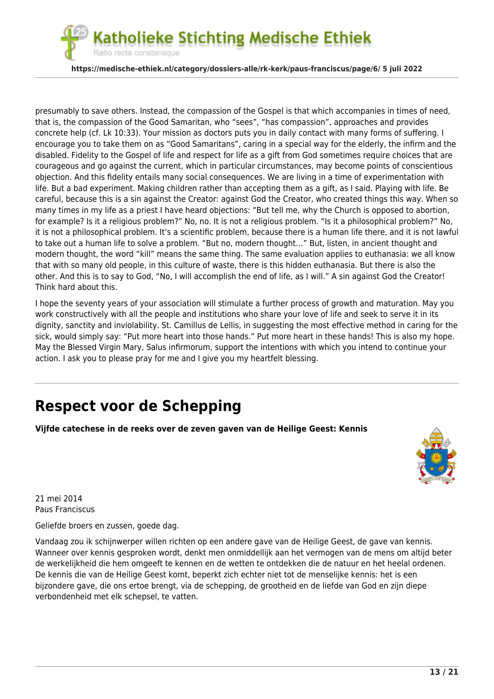tholieke Stichting Medische Ethiek Ratio recta constansque

**https://medische-ethiek.nl/category/dossiers-alle/rk-kerk/paus-franciscus/page/6/ 5 juli 2022**

presumably to save others. Instead, the compassion of the Gospel is that which accompanies in times of need, that is, the compassion of the Good Samaritan, who "sees", "has compassion", approaches and provides concrete help (cf. Lk 10:33). Your mission as doctors puts you in daily contact with many forms of suffering. I encourage you to take them on as "Good Samaritans", caring in a special way for the elderly, the infirm and the disabled. Fidelity to the Gospel of life and respect for life as a gift from God sometimes require choices that are courageous and go against the current, which in particular circumstances, may become points of conscientious objection. And this fidelity entails many social consequences. We are living in a time of experimentation with life. But a bad experiment. Making children rather than accepting them as a gift, as I said. Playing with life. Be careful, because this is a sin against the Creator: against God the Creator, who created things this way. When so many times in my life as a priest I have heard objections: "But tell me, why the Church is opposed to abortion, for example? Is it a religious problem?" No, no. It is not a religious problem. "Is it a philosophical problem?" No, it is not a philosophical problem. It's a scientific problem, because there is a human life there, and it is not lawful to take out a human life to solve a problem. "But no, modern thought…" But, listen, in ancient thought and modern thought, the word "kill" means the same thing. The same evaluation applies to euthanasia: we all know that with so many old people, in this culture of waste, there is this hidden euthanasia. But there is also the other. And this is to say to God, "No, I will accomplish the end of life, as I will." A sin against God the Creator! Think hard about this.

I hope the seventy years of your association will stimulate a further process of growth and maturation. May you work constructively with all the people and institutions who share your love of life and seek to serve it in its dignity, sanctity and inviolability. St. Camillus de Lellis, in suggesting the most effective method in caring for the sick, would simply say: "Put more heart into those hands." Put more heart in these hands! This is also my hope. May the Blessed Virgin Mary, Salus infirmorum, support the intentions with which you intend to continue your action. I ask you to please pray for me and I give you my heartfelt blessing.

## **[Respect voor de Schepping](https://medische-ethiek.nl/respect-voor-de-schepping/)**

**Vijfde catechese in de reeks over de zeven gaven van de Heilige Geest: Kennis**



21 mei 2014 Paus Franciscus

Geliefde broers en zussen, goede dag.

Vandaag zou ik schijnwerper willen richten op een andere gave van de Heilige Geest, de gave van kennis. Wanneer over kennis gesproken wordt, denkt men onmiddellijk aan het vermogen van de mens om altijd beter de werkelijkheid die hem omgeeft te kennen en de wetten te ontdekken die de natuur en het heelal ordenen. De kennis die van de Heilige Geest komt, beperkt zich echter niet tot de menselijke kennis: het is een bijzondere gave, die ons ertoe brengt, via de schepping, de grootheid en de liefde van God en zijn diepe verbondenheid met elk schepsel, te vatten.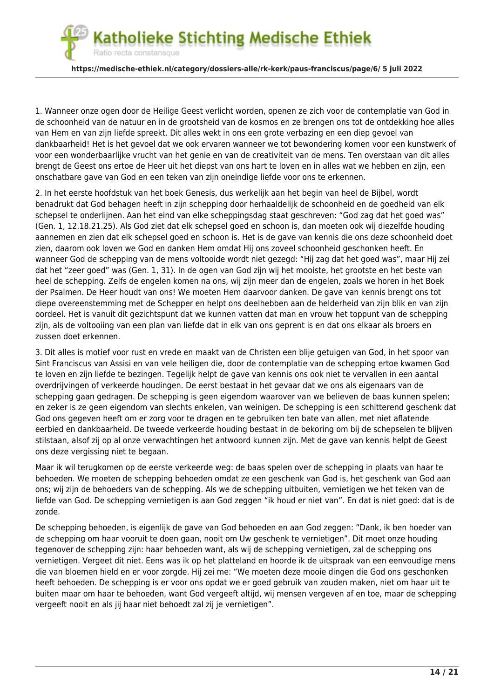atholieke Stichting Medische Ethiek Ratio recta constansque

**https://medische-ethiek.nl/category/dossiers-alle/rk-kerk/paus-franciscus/page/6/ 5 juli 2022**

1. Wanneer onze ogen door de Heilige Geest verlicht worden, openen ze zich voor de contemplatie van God in de schoonheid van de natuur en in de grootsheid van de kosmos en ze brengen ons tot de ontdekking hoe alles van Hem en van zijn liefde spreekt. Dit alles wekt in ons een grote verbazing en een diep gevoel van dankbaarheid! Het is het gevoel dat we ook ervaren wanneer we tot bewondering komen voor een kunstwerk of voor een wonderbaarlijke vrucht van het genie en van de creativiteit van de mens. Ten overstaan van dit alles brengt de Geest ons ertoe de Heer uit het diepst van ons hart te loven en in alles wat we hebben en zijn, een onschatbare gave van God en een teken van zijn oneindige liefde voor ons te erkennen.

2. In het eerste hoofdstuk van het boek Genesis, dus werkelijk aan het begin van heel de Bijbel, wordt benadrukt dat God behagen heeft in zijn schepping door herhaaldelijk de schoonheid en de goedheid van elk schepsel te onderlijnen. Aan het eind van elke scheppingsdag staat geschreven: "God zag dat het goed was" (Gen. 1, 12.18.21.25). Als God ziet dat elk schepsel goed en schoon is, dan moeten ook wij diezelfde houding aannemen en zien dat elk schepsel goed en schoon is. Het is de gave van kennis die ons deze schoonheid doet zien, daarom ook loven we God en danken Hem omdat Hij ons zoveel schoonheid geschonken heeft. En wanneer God de schepping van de mens voltooide wordt niet gezegd: "Hij zag dat het goed was", maar Hij zei dat het "zeer goed" was (Gen. 1, 31). In de ogen van God zijn wij het mooiste, het grootste en het beste van heel de schepping. Zelfs de engelen komen na ons, wij zijn meer dan de engelen, zoals we horen in het Boek der Psalmen. De Heer houdt van ons! We moeten Hem daarvoor danken. De gave van kennis brengt ons tot diepe overeenstemming met de Schepper en helpt ons deelhebben aan de helderheid van zijn blik en van zijn oordeel. Het is vanuit dit gezichtspunt dat we kunnen vatten dat man en vrouw het toppunt van de schepping zijn, als de voltooiing van een plan van liefde dat in elk van ons geprent is en dat ons elkaar als broers en zussen doet erkennen.

3. Dit alles is motief voor rust en vrede en maakt van de Christen een blije getuigen van God, in het spoor van Sint Franciscus van Assisi en van vele heiligen die, door de contemplatie van de schepping ertoe kwamen God te loven en zijn liefde te bezingen. Tegelijk helpt de gave van kennis ons ook niet te vervallen in een aantal overdrijvingen of verkeerde houdingen. De eerst bestaat in het gevaar dat we ons als eigenaars van de schepping gaan gedragen. De schepping is geen eigendom waarover van we believen de baas kunnen spelen; en zeker is ze geen eigendom van slechts enkelen, van weinigen. De schepping is een schitterend geschenk dat God ons gegeven heeft om er zorg voor te dragen en te gebruiken ten bate van allen, met niet aflatende eerbied en dankbaarheid. De tweede verkeerde houding bestaat in de bekoring om bij de schepselen te blijven stilstaan, alsof zij op al onze verwachtingen het antwoord kunnen zijn. Met de gave van kennis helpt de Geest ons deze vergissing niet te begaan.

Maar ik wil terugkomen op de eerste verkeerde weg: de baas spelen over de schepping in plaats van haar te behoeden. We moeten de schepping behoeden omdat ze een geschenk van God is, het geschenk van God aan ons; wij zijn de behoeders van de schepping. Als we de schepping uitbuiten, vernietigen we het teken van de liefde van God. De schepping vernietigen is aan God zeggen "ik houd er niet van". En dat is niet goed: dat is de zonde.

De schepping behoeden, is eigenlijk de gave van God behoeden en aan God zeggen: "Dank, ik ben hoeder van de schepping om haar vooruit te doen gaan, nooit om Uw geschenk te vernietigen". Dit moet onze houding tegenover de schepping zijn: haar behoeden want, als wij de schepping vernietigen, zal de schepping ons vernietigen. Vergeet dit niet. Eens was ik op het platteland en hoorde ik de uitspraak van een eenvoudige mens die van bloemen hield en er voor zorgde. Hij zei me: "We moeten deze mooie dingen die God ons geschonken heeft behoeden. De schepping is er voor ons opdat we er goed gebruik van zouden maken, niet om haar uit te buiten maar om haar te behoeden, want God vergeeft altijd, wij mensen vergeven af en toe, maar de schepping vergeeft nooit en als jij haar niet behoedt zal zij je vernietigen".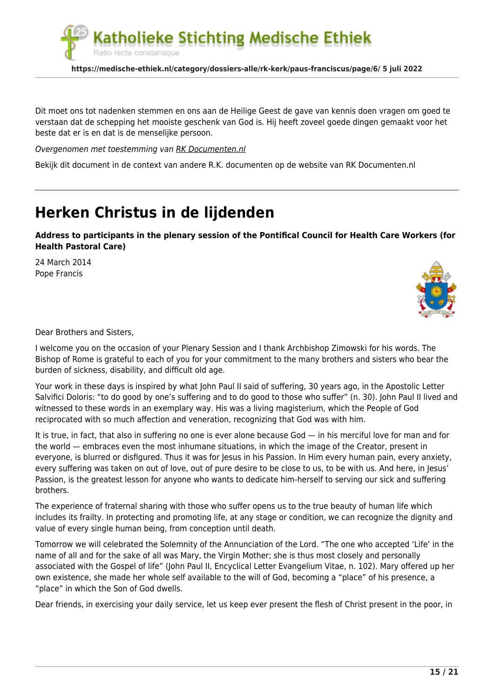

**https://medische-ethiek.nl/category/dossiers-alle/rk-kerk/paus-franciscus/page/6/ 5 juli 2022**

Dit moet ons tot nadenken stemmen en ons aan de Heilige Geest de gave van kennis doen vragen om goed te verstaan dat de schepping het mooiste geschenk van God is. Hij heeft zoveel goede dingen gemaakt voor het beste dat er is en dat is de menselijke persoon.

Overgenomen met toestemming van [RK Documenten.nl](https://www.rkdocumenten.nl/rkdocs/)

Bekijk dit document in de context van andere R.K. documenten op de website van RK Documenten.nl

### **[Herken Christus in de lijdenden](https://medische-ethiek.nl/herken-christus-in-de-lijdenden/)**

**Address to participants in the plenary session of the Pontifical Council for Health Care Workers (for Health Pastoral Care)**

24 March 2014 Pope Francis



Dear Brothers and Sisters,

I welcome you on the occasion of your Plenary Session and I thank Archbishop Zimowski for his words. The Bishop of Rome is grateful to each of you for your commitment to the many brothers and sisters who bear the burden of sickness, disability, and difficult old age.

Your work in these days is inspired by what John Paul II said of suffering, 30 years ago, in the Apostolic Letter Salvifici Doloris: "to do good by one's suffering and to do good to those who suffer" (n. 30). John Paul II lived and witnessed to these words in an exemplary way. His was a living magisterium, which the People of God reciprocated with so much affection and veneration, recognizing that God was with him.

It is true, in fact, that also in suffering no one is ever alone because God — in his merciful love for man and for the world — embraces even the most inhumane situations, in which the image of the Creator, present in everyone, is blurred or disfigured. Thus it was for Jesus in his Passion. In Him every human pain, every anxiety, every suffering was taken on out of love, out of pure desire to be close to us, to be with us. And here, in Jesus' Passion, is the greatest lesson for anyone who wants to dedicate him-herself to serving our sick and suffering brothers.

The experience of fraternal sharing with those who suffer opens us to the true beauty of human life which includes its frailty. In protecting and promoting life, at any stage or condition, we can recognize the dignity and value of every single human being, from conception until death.

Tomorrow we will celebrated the Solemnity of the Annunciation of the Lord. "The one who accepted 'Life' in the name of all and for the sake of all was Mary, the Virgin Mother; she is thus most closely and personally associated with the Gospel of life" (John Paul II, Encyclical Letter Evangelium Vitae, n. 102). Mary offered up her own existence, she made her whole self available to the will of God, becoming a "place" of his presence, a "place" in which the Son of God dwells.

Dear friends, in exercising your daily service, let us keep ever present the flesh of Christ present in the poor, in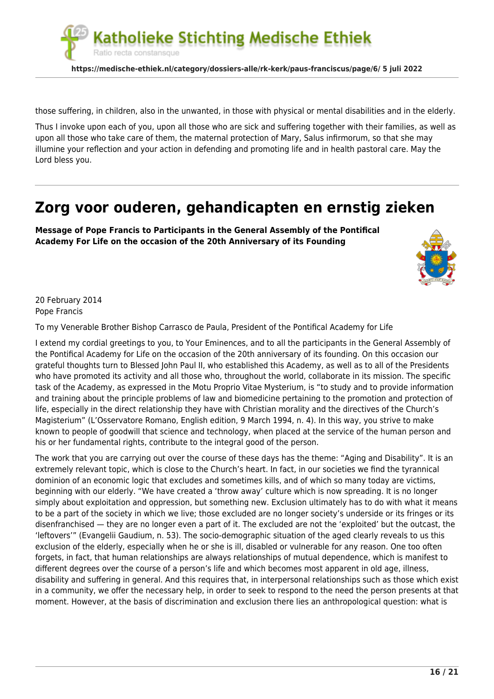

those suffering, in children, also in the unwanted, in those with physical or mental disabilities and in the elderly.

Thus I invoke upon each of you, upon all those who are sick and suffering together with their families, as well as upon all those who take care of them, the maternal protection of Mary, Salus infirmorum, so that she may illumine your reflection and your action in defending and promoting life and in health pastoral care. May the Lord bless you.

### **[Zorg voor ouderen, gehandicapten en ernstig zieken](https://medische-ethiek.nl/zorg-voor-ouderen-gehandicapten-en-ernstig-zieken/)**

**Message of Pope Francis to Participants in the General Assembly of the Pontifical Academy For Life on the occasion of the 20th Anniversary of its Founding**



20 February 2014 Pope Francis

To my Venerable Brother Bishop Carrasco de Paula, President of the Pontifical Academy for Life

I extend my cordial greetings to you, to Your Eminences, and to all the participants in the General Assembly of the Pontifical Academy for Life on the occasion of the 20th anniversary of its founding. On this occasion our grateful thoughts turn to Blessed John Paul II, who established this Academy, as well as to all of the Presidents who have promoted its activity and all those who, throughout the world, collaborate in its mission. The specific task of the Academy, as expressed in the Motu Proprio Vitae Mysterium, is "to study and to provide information and training about the principle problems of law and biomedicine pertaining to the promotion and protection of life, especially in the direct relationship they have with Christian morality and the directives of the Church's Magisterium" (L'Osservatore Romano, English edition, 9 March 1994, n. 4). In this way, you strive to make known to people of goodwill that science and technology, when placed at the service of the human person and his or her fundamental rights, contribute to the integral good of the person.

The work that you are carrying out over the course of these days has the theme: "Aging and Disability". It is an extremely relevant topic, which is close to the Church's heart. In fact, in our societies we find the tyrannical dominion of an economic logic that excludes and sometimes kills, and of which so many today are victims, beginning with our elderly. "We have created a 'throw away' culture which is now spreading. It is no longer simply about exploitation and oppression, but something new. Exclusion ultimately has to do with what it means to be a part of the society in which we live; those excluded are no longer society's underside or its fringes or its disenfranchised — they are no longer even a part of it. The excluded are not the 'exploited' but the outcast, the 'leftovers'" (Evangelii Gaudium, n. 53). The socio-demographic situation of the aged clearly reveals to us this exclusion of the elderly, especially when he or she is ill, disabled or vulnerable for any reason. One too often forgets, in fact, that human relationships are always relationships of mutual dependence, which is manifest to different degrees over the course of a person's life and which becomes most apparent in old age, illness, disability and suffering in general. And this requires that, in interpersonal relationships such as those which exist in a community, we offer the necessary help, in order to seek to respond to the need the person presents at that moment. However, at the basis of discrimination and exclusion there lies an anthropological question: what is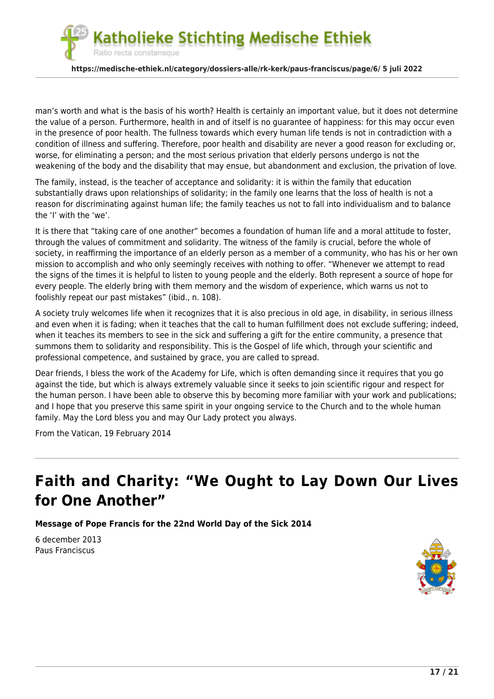holieke Stichting Medische Ethiek



man's worth and what is the basis of his worth? Health is certainly an important value, but it does not determine the value of a person. Furthermore, health in and of itself is no guarantee of happiness: for this may occur even in the presence of poor health. The fullness towards which every human life tends is not in contradiction with a condition of illness and suffering. Therefore, poor health and disability are never a good reason for excluding or, worse, for eliminating a person; and the most serious privation that elderly persons undergo is not the weakening of the body and the disability that may ensue, but abandonment and exclusion, the privation of love.

The family, instead, is the teacher of acceptance and solidarity: it is within the family that education substantially draws upon relationships of solidarity; in the family one learns that the loss of health is not a reason for discriminating against human life; the family teaches us not to fall into individualism and to balance the 'I' with the 'we'.

It is there that "taking care of one another" becomes a foundation of human life and a moral attitude to foster, through the values of commitment and solidarity. The witness of the family is crucial, before the whole of society, in reaffirming the importance of an elderly person as a member of a community, who has his or her own mission to accomplish and who only seemingly receives with nothing to offer. "Whenever we attempt to read the signs of the times it is helpful to listen to young people and the elderly. Both represent a source of hope for every people. The elderly bring with them memory and the wisdom of experience, which warns us not to foolishly repeat our past mistakes" (ibid., n. 108).

A society truly welcomes life when it recognizes that it is also precious in old age, in disability, in serious illness and even when it is fading; when it teaches that the call to human fulfillment does not exclude suffering; indeed, when it teaches its members to see in the sick and suffering a gift for the entire community, a presence that summons them to solidarity and responsibility. This is the Gospel of life which, through your scientific and professional competence, and sustained by grace, you are called to spread.

Dear friends, I bless the work of the Academy for Life, which is often demanding since it requires that you go against the tide, but which is always extremely valuable since it seeks to join scientific rigour and respect for the human person. I have been able to observe this by becoming more familiar with your work and publications; and I hope that you preserve this same spirit in your ongoing service to the Church and to the whole human family. May the Lord bless you and may Our Lady protect you always.

From the Vatican, 19 February 2014

Ratio recta constansque

## **[Faith and Charity: "We Ought to Lay Down Our Lives](https://medische-ethiek.nl/faith-and-charity-we-ought-to-lay-down-our-lives-for-one-another/) [for One Another"](https://medische-ethiek.nl/faith-and-charity-we-ought-to-lay-down-our-lives-for-one-another/)**

**Message of Pope Francis for the 22nd World Day of the Sick 2014**

6 december 2013 Paus Franciscus

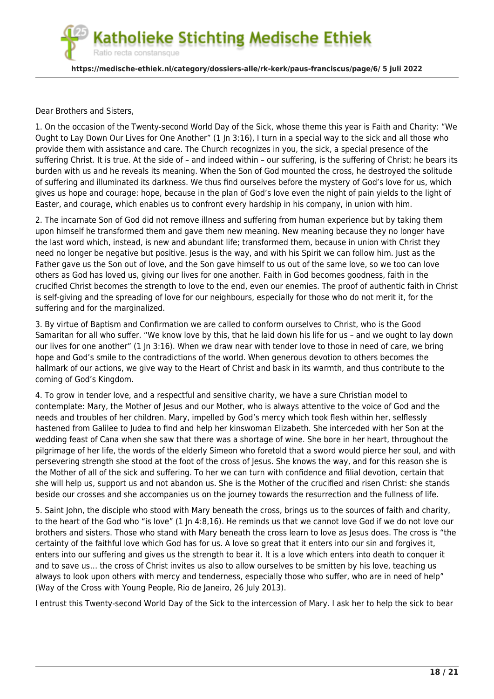

Dear Brothers and Sisters,

1. On the occasion of the Twenty-second World Day of the Sick, whose theme this year is Faith and Charity: "We Ought to Lay Down Our Lives for One Another" (1 Jn 3:16), I turn in a special way to the sick and all those who provide them with assistance and care. The Church recognizes in you, the sick, a special presence of the suffering Christ. It is true. At the side of – and indeed within – our suffering, is the suffering of Christ; he bears its burden with us and he reveals its meaning. When the Son of God mounted the cross, he destroyed the solitude of suffering and illuminated its darkness. We thus find ourselves before the mystery of God's love for us, which gives us hope and courage: hope, because in the plan of God's love even the night of pain yields to the light of Easter, and courage, which enables us to confront every hardship in his company, in union with him.

2. The incarnate Son of God did not remove illness and suffering from human experience but by taking them upon himself he transformed them and gave them new meaning. New meaning because they no longer have the last word which, instead, is new and abundant life; transformed them, because in union with Christ they need no longer be negative but positive. Jesus is the way, and with his Spirit we can follow him. Just as the Father gave us the Son out of love, and the Son gave himself to us out of the same love, so we too can love others as God has loved us, giving our lives for one another. Faith in God becomes goodness, faith in the crucified Christ becomes the strength to love to the end, even our enemies. The proof of authentic faith in Christ is self-giving and the spreading of love for our neighbours, especially for those who do not merit it, for the suffering and for the marginalized.

3. By virtue of Baptism and Confirmation we are called to conform ourselves to Christ, who is the Good Samaritan for all who suffer. "We know love by this, that he laid down his life for us – and we ought to lay down our lives for one another" (1 In 3:16). When we draw near with tender love to those in need of care, we bring hope and God's smile to the contradictions of the world. When generous devotion to others becomes the hallmark of our actions, we give way to the Heart of Christ and bask in its warmth, and thus contribute to the coming of God's Kingdom.

4. To grow in tender love, and a respectful and sensitive charity, we have a sure Christian model to contemplate: Mary, the Mother of Jesus and our Mother, who is always attentive to the voice of God and the needs and troubles of her children. Mary, impelled by God's mercy which took flesh within her, selflessly hastened from Galilee to Judea to find and help her kinswoman Elizabeth. She interceded with her Son at the wedding feast of Cana when she saw that there was a shortage of wine. She bore in her heart, throughout the pilgrimage of her life, the words of the elderly Simeon who foretold that a sword would pierce her soul, and with persevering strength she stood at the foot of the cross of Jesus. She knows the way, and for this reason she is the Mother of all of the sick and suffering. To her we can turn with confidence and filial devotion, certain that she will help us, support us and not abandon us. She is the Mother of the crucified and risen Christ: she stands beside our crosses and she accompanies us on the journey towards the resurrection and the fullness of life.

5. Saint John, the disciple who stood with Mary beneath the cross, brings us to the sources of faith and charity, to the heart of the God who "is love" (1 In 4:8,16). He reminds us that we cannot love God if we do not love our brothers and sisters. Those who stand with Mary beneath the cross learn to love as Jesus does. The cross is "the certainty of the faithful love which God has for us. A love so great that it enters into our sin and forgives it, enters into our suffering and gives us the strength to bear it. It is a love which enters into death to conquer it and to save us… the cross of Christ invites us also to allow ourselves to be smitten by his love, teaching us always to look upon others with mercy and tenderness, especially those who suffer, who are in need of help" (Way of the Cross with Young People, Rio de Janeiro, 26 July 2013).

I entrust this Twenty-second World Day of the Sick to the intercession of Mary. I ask her to help the sick to bear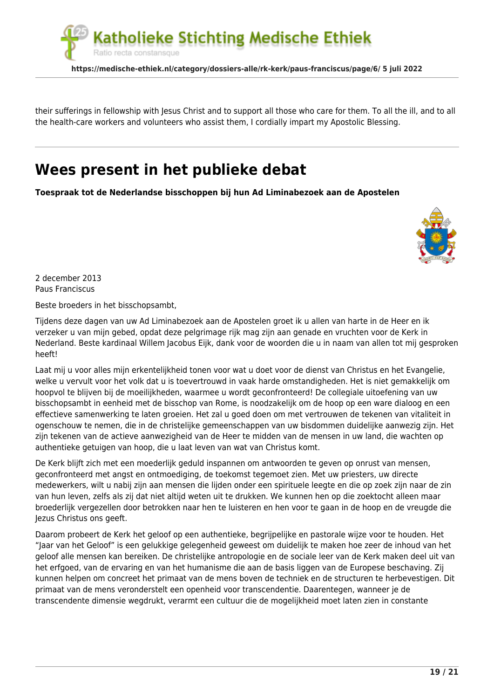

their sufferings in fellowship with Jesus Christ and to support all those who care for them. To all the ill, and to all the health-care workers and volunteers who assist them, I cordially impart my Apostolic Blessing.

# **[Wees present in het publieke debat](https://medische-ethiek.nl/wees-present-in-het-publieke-debat/)**

**Toespraak tot de Nederlandse bisschoppen bij hun Ad Liminabezoek aan de Apostelen**



2 december 2013 Paus Franciscus

Beste broeders in het bisschopsambt,

Tijdens deze dagen van uw Ad Liminabezoek aan de Apostelen groet ik u allen van harte in de Heer en ik verzeker u van mijn gebed, opdat deze pelgrimage rijk mag zijn aan genade en vruchten voor de Kerk in Nederland. Beste kardinaal Willem Jacobus Eijk, dank voor de woorden die u in naam van allen tot mij gesproken heeft!

Laat mij u voor alles mijn erkentelijkheid tonen voor wat u doet voor de dienst van Christus en het Evangelie, welke u vervult voor het volk dat u is toevertrouwd in vaak harde omstandigheden. Het is niet gemakkelijk om hoopvol te blijven bij de moeilijkheden, waarmee u wordt geconfronteerd! De collegiale uitoefening van uw bisschopsambt in eenheid met de bisschop van Rome, is noodzakelijk om de hoop op een ware dialoog en een effectieve samenwerking te laten groeien. Het zal u goed doen om met vertrouwen de tekenen van vitaliteit in ogenschouw te nemen, die in de christelijke gemeenschappen van uw bisdommen duidelijke aanwezig zijn. Het zijn tekenen van de actieve aanwezigheid van de Heer te midden van de mensen in uw land, die wachten op authentieke getuigen van hoop, die u laat leven van wat van Christus komt.

De Kerk blijft zich met een moederlijk geduld inspannen om antwoorden te geven op onrust van mensen, geconfronteerd met angst en ontmoediging, de toekomst tegemoet zien. Met uw priesters, uw directe medewerkers, wilt u nabij zijn aan mensen die lijden onder een spirituele leegte en die op zoek zijn naar de zin van hun leven, zelfs als zij dat niet altijd weten uit te drukken. We kunnen hen op die zoektocht alleen maar broederlijk vergezellen door betrokken naar hen te luisteren en hen voor te gaan in de hoop en de vreugde die Jezus Christus ons geeft.

Daarom probeert de Kerk het geloof op een authentieke, begrijpelijke en pastorale wijze voor te houden. Het "Jaar van het Geloof" is een gelukkige gelegenheid geweest om duidelijk te maken hoe zeer de inhoud van het geloof alle mensen kan bereiken. De christelijke antropologie en de sociale leer van de Kerk maken deel uit van het erfgoed, van de ervaring en van het humanisme die aan de basis liggen van de Europese beschaving. Zij kunnen helpen om concreet het primaat van de mens boven de techniek en de structuren te herbevestigen. Dit primaat van de mens veronderstelt een openheid voor transcendentie. Daarentegen, wanneer je de transcendente dimensie wegdrukt, verarmt een cultuur die de mogelijkheid moet laten zien in constante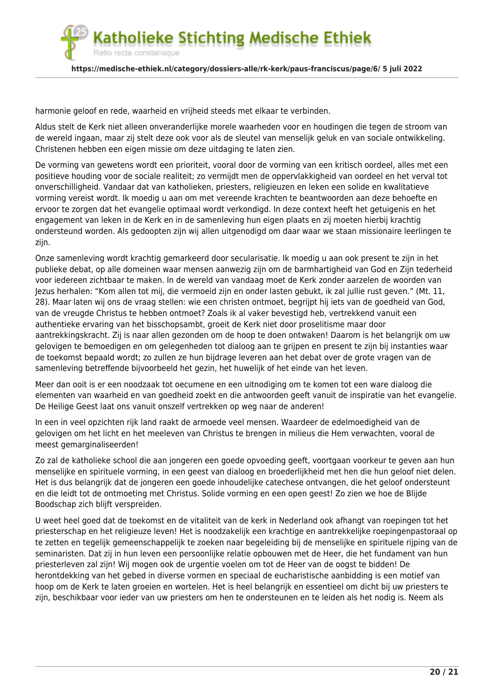

harmonie geloof en rede, waarheid en vrijheid steeds met elkaar te verbinden.

Aldus stelt de Kerk niet alleen onveranderlijke morele waarheden voor en houdingen die tegen de stroom van de wereld ingaan, maar zij stelt deze ook voor als de sleutel van menselijk geluk en van sociale ontwikkeling. Christenen hebben een eigen missie om deze uitdaging te laten zien.

De vorming van gewetens wordt een prioriteit, vooral door de vorming van een kritisch oordeel, alles met een positieve houding voor de sociale realiteit; zo vermijdt men de oppervlakkigheid van oordeel en het verval tot onverschilligheid. Vandaar dat van katholieken, priesters, religieuzen en leken een solide en kwalitatieve vorming vereist wordt. Ik moedig u aan om met vereende krachten te beantwoorden aan deze behoefte en ervoor te zorgen dat het evangelie optimaal wordt verkondigd. In deze context heeft het getuigenis en het engagement van leken in de Kerk en in de samenleving hun eigen plaats en zij moeten hierbij krachtig ondersteund worden. Als gedoopten zijn wij allen uitgenodigd om daar waar we staan missionaire leerlingen te zijn.

Onze samenleving wordt krachtig gemarkeerd door secularisatie. Ik moedig u aan ook present te zijn in het publieke debat, op alle domeinen waar mensen aanwezig zijn om de barmhartigheid van God en Zijn tederheid voor iedereen zichtbaar te maken. In de wereld van vandaag moet de Kerk zonder aarzelen de woorden van Jezus herhalen: "Kom allen tot mij, die vermoeid zijn en onder lasten gebukt, ik zal jullie rust geven." (Mt. 11, 28). Maar laten wij ons de vraag stellen: wie een christen ontmoet, begrijpt hij iets van de goedheid van God, van de vreugde Christus te hebben ontmoet? Zoals ik al vaker bevestigd heb, vertrekkend vanuit een authentieke ervaring van het bisschopsambt, groeit de Kerk niet door proselitisme maar door aantrekkingskracht. Zij is naar allen gezonden om de hoop te doen ontwaken! Daarom is het belangrijk om uw gelovigen te bemoedigen en om gelegenheden tot dialoog aan te grijpen en present te zijn bij instanties waar de toekomst bepaald wordt; zo zullen ze hun bijdrage leveren aan het debat over de grote vragen van de samenleving betreffende bijvoorbeeld het gezin, het huwelijk of het einde van het leven.

Meer dan ooit is er een noodzaak tot oecumene en een uitnodiging om te komen tot een ware dialoog die elementen van waarheid en van goedheid zoekt en die antwoorden geeft vanuit de inspiratie van het evangelie. De Heilige Geest laat ons vanuit onszelf vertrekken op weg naar de anderen!

In een in veel opzichten rijk land raakt de armoede veel mensen. Waardeer de edelmoedigheid van de gelovigen om het licht en het meeleven van Christus te brengen in milieus die Hem verwachten, vooral de meest gemarginaliseerden!

Zo zal de katholieke school die aan jongeren een goede opvoeding geeft, voortgaan voorkeur te geven aan hun menselijke en spirituele vorming, in een geest van dialoog en broederlijkheid met hen die hun geloof niet delen. Het is dus belangrijk dat de jongeren een goede inhoudelijke catechese ontvangen, die het geloof ondersteunt en die leidt tot de ontmoeting met Christus. Solide vorming en een open geest! Zo zien we hoe de Blijde Boodschap zich blijft verspreiden.

U weet heel goed dat de toekomst en de vitaliteit van de kerk in Nederland ook afhangt van roepingen tot het priesterschap en het religieuze leven! Het is noodzakelijk een krachtige en aantrekkelijke roepingenpastoraal op te zetten en tegelijk gemeenschappelijk te zoeken naar begeleiding bij de menselijke en spirituele rijping van de seminaristen. Dat zij in hun leven een persoonlijke relatie opbouwen met de Heer, die het fundament van hun priesterleven zal zijn! Wij mogen ook de urgentie voelen om tot de Heer van de oogst te bidden! De herontdekking van het gebed in diverse vormen en speciaal de eucharistische aanbidding is een motief van hoop om de Kerk te laten groeien en wortelen. Het is heel belangrijk en essentieel om dicht bij uw priesters te zijn, beschikbaar voor ieder van uw priesters om hen te ondersteunen en te leiden als het nodig is. Neem als